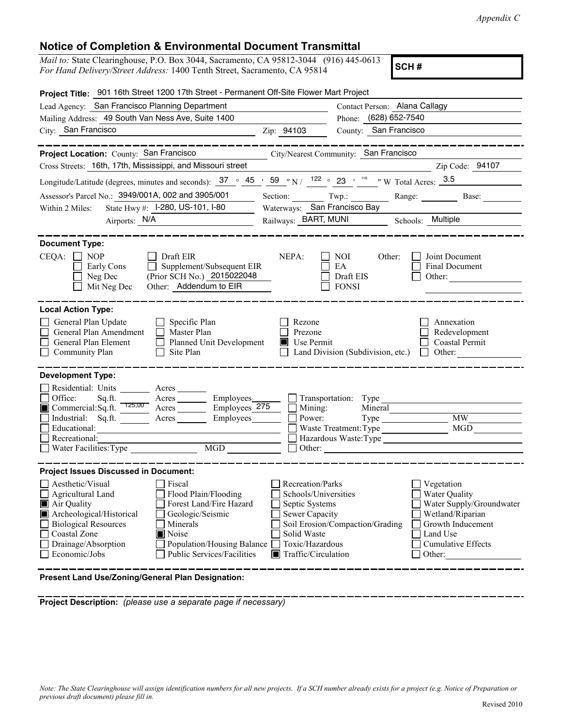## **Notice of Completion & Environmental Document Transmittal**

*Mail to:* State Clearinghouse, P.O. Box 3044, Sacramento, CA 95812-3044 (916) 445-0613 *For Hand Delivery/Street Address:* 1400 Tenth Street, Sacramento, CA 95814

**SCH #**

| Project Title: 901 16th Street 1200 17th Street - Permanent Off-Site Flower Mart Project                                                                                                                                                                                                                                                                  |                                                                                                                                                      |                                                                                                                                                                                 |
|-----------------------------------------------------------------------------------------------------------------------------------------------------------------------------------------------------------------------------------------------------------------------------------------------------------------------------------------------------------|------------------------------------------------------------------------------------------------------------------------------------------------------|---------------------------------------------------------------------------------------------------------------------------------------------------------------------------------|
| Lead Agency: San Francisco Planning Department                                                                                                                                                                                                                                                                                                            |                                                                                                                                                      | Contact Person: Alana Callagy                                                                                                                                                   |
| Mailing Address: 49 South Van Ness Ave, Suite 1400                                                                                                                                                                                                                                                                                                        |                                                                                                                                                      | Phone: (628) 652-7540                                                                                                                                                           |
| City: San Francisco<br><u>Zip: 94103</u>                                                                                                                                                                                                                                                                                                                  |                                                                                                                                                      | County: San Francisco                                                                                                                                                           |
| Project Location: County: San Francisco                                                                                                                                                                                                                                                                                                                   |                                                                                                                                                      | City/Nearest Community: San Francisco                                                                                                                                           |
| Cross Streets: 16th, 17th, Mississippi, and Missouri street                                                                                                                                                                                                                                                                                               |                                                                                                                                                      | Zip Code: 94107                                                                                                                                                                 |
| Longitude/Latitude (degrees, minutes and seconds): $37 \degree 45$ / $59$ /N / $122 \degree 23$ / $116$ /N Total Acres: $3.5$                                                                                                                                                                                                                             |                                                                                                                                                      |                                                                                                                                                                                 |
| Assessor's Parcel No.: 3949/001A, 002 and 3905/001                                                                                                                                                                                                                                                                                                        |                                                                                                                                                      | Section: Twp.: Range: Base:                                                                                                                                                     |
| State Hwy #: 1-280, US-101, 1-80<br>Within 2 Miles:                                                                                                                                                                                                                                                                                                       | Waterways: San Francisco Bay                                                                                                                         |                                                                                                                                                                                 |
| Airports: N/A                                                                                                                                                                                                                                                                                                                                             |                                                                                                                                                      | Railways: BART, MUNI Schools: Multiple                                                                                                                                          |
|                                                                                                                                                                                                                                                                                                                                                           |                                                                                                                                                      |                                                                                                                                                                                 |
| <b>Document Type:</b>                                                                                                                                                                                                                                                                                                                                     |                                                                                                                                                      |                                                                                                                                                                                 |
| $CEQA: \Box NP$<br>Draft EIR<br>Supplement/Subsequent EIR<br>Early Cons<br>(Prior SCH No.) 2015022048<br>Neg Dec<br>Other: Addendum to EIR<br>Mit Neg Dec                                                                                                                                                                                                 | NEPA:                                                                                                                                                | NOI<br>Other:<br>Joint Document<br>EA<br>Final Document<br>Draft EIS<br>Other:<br><b>FONSI</b>                                                                                  |
| <b>Local Action Type:</b>                                                                                                                                                                                                                                                                                                                                 |                                                                                                                                                      |                                                                                                                                                                                 |
| General Plan Update<br>Specific Plan<br>General Plan Amendment<br>$\Box$ Master Plan<br>General Plan Element<br>Planned Unit Development<br>$\Box$ Site Plan<br>Community Plan<br>$\Box$                                                                                                                                                                  | Rezone<br>Prezone<br>Use Permit                                                                                                                      | Annexation<br>Redevelopment<br>Coastal Permit<br>$\Box$ Other:<br>Land Division (Subdivision, etc.)                                                                             |
| <b>Development Type:</b><br>Residential: Units<br>Acres<br>Office:<br>Employees_<br>Sq.ft.<br>$A$ cres $\_\_\_\_\_\_\_\$<br>Commercial: $Sq$ .ft. $\overline{725,00}$<br>Employees_275<br>$\frac{1}{2}$ Acres<br>Industrial: Sq.ft.<br>Employees________<br>Acres<br>Educational:<br>Recreational:<br>MGD<br>$\Box$ Water Facilities: Type                | Mining:<br>Power:                                                                                                                                    | Transportation: Type<br>Mineral<br>MW<br>MGD<br>Other:                                                                                                                          |
| <b>Project Issues Discussed in Document:</b>                                                                                                                                                                                                                                                                                                              |                                                                                                                                                      |                                                                                                                                                                                 |
| Aesthetic/Visual<br>Fiscal<br>Flood Plain/Flooding<br>Agricultural Land<br>Air Quality<br>Forest Land/Fire Hazard<br>Archeological/Historical<br>Geologic/Seismic<br><b>Biological Resources</b><br>Minerals<br>Coastal Zone<br><b>■</b> Noise<br>Drainage/Absorption<br>Population/Housing Balance<br><b>Public Services/Facilities</b><br>Economic/Jobs | Recreation/Parks<br>Schools/Universities<br>Septic Systems<br>Sewer Capacity<br>Solid Waste<br>Toxic/Hazardous<br>$\blacksquare$ Traffic/Circulation | Vegetation<br>Water Quality<br>Water Supply/Groundwater<br>Wetland/Riparian<br>Soil Erosion/Compaction/Grading<br>Growth Inducement<br>Land Use<br>Cumulative Effects<br>Other: |

**Present Land Use/Zoning/General Plan Designation:**

**Project Description:** *(please use a separate page if necessary)*